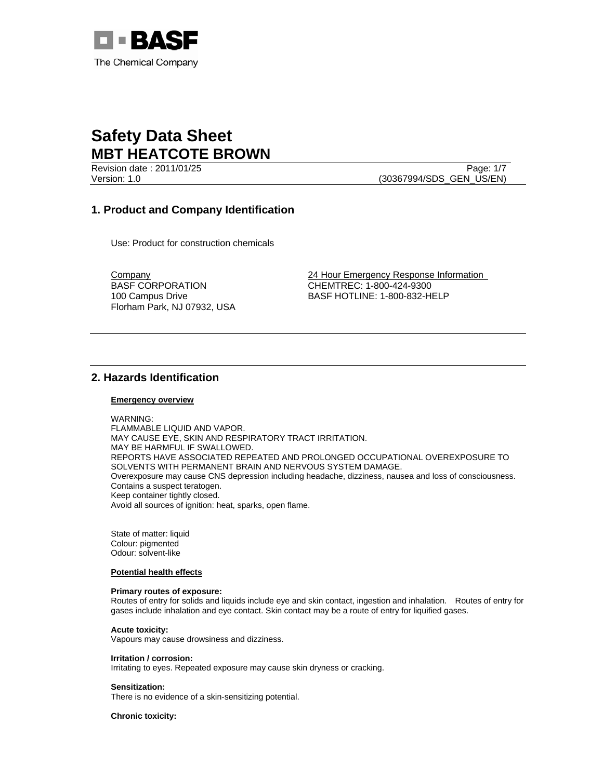

Revision date : 2011/01/25 Page: 1/7 Version: 1.0 (30367994/SDS\_GEN\_US/EN)

## **1. Product and Company Identification**

Use: Product for construction chemicals

BASF CORPORATION 100 Campus Drive Florham Park, NJ 07932, USA

Company 24 Hour Emergency Response Information CHEMTREC: 1-800-424-9300 BASF HOTLINE: 1-800-832-HELP

## **2. Hazards Identification**

### **Emergency overview**

WARNING:

FLAMMABLE LIQUID AND VAPOR. MAY CAUSE EYE, SKIN AND RESPIRATORY TRACT IRRITATION. MAY BE HARMFUL IF SWALLOWED. REPORTS HAVE ASSOCIATED REPEATED AND PROLONGED OCCUPATIONAL OVEREXPOSURE TO SOLVENTS WITH PERMANENT BRAIN AND NERVOUS SYSTEM DAMAGE. Overexposure may cause CNS depression including headache, dizziness, nausea and loss of consciousness. Contains a suspect teratogen. Keep container tightly closed. Avoid all sources of ignition: heat, sparks, open flame.

State of matter: liquid Colour: pigmented Odour: solvent-like

### **Potential health effects**

### **Primary routes of exposure:**

Routes of entry for solids and liquids include eye and skin contact, ingestion and inhalation. Routes of entry for gases include inhalation and eye contact. Skin contact may be a route of entry for liquified gases.

### **Acute toxicity:**

Vapours may cause drowsiness and dizziness.

### **Irritation / corrosion:**

Irritating to eyes. Repeated exposure may cause skin dryness or cracking.

### **Sensitization:**

There is no evidence of a skin-sensitizing potential.

**Chronic toxicity:**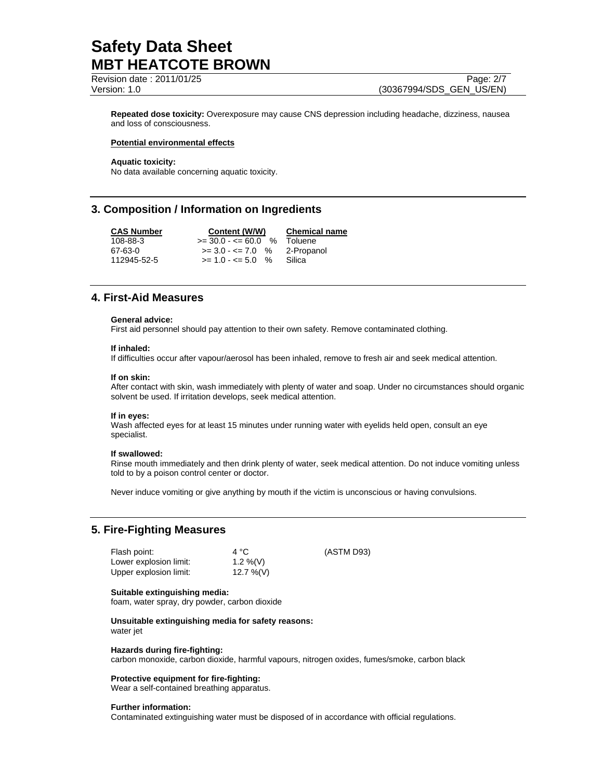Revision date : 2011/01/25 Page: 2/7 Version: 1.0 (30367994/SDS\_GEN\_US/EN)

**Repeated dose toxicity:** Overexposure may cause CNS depression including headache, dizziness, nausea and loss of consciousness.

### **Potential environmental effects**

**Aquatic toxicity:**  No data available concerning aquatic toxicity.

## **3. Composition / Information on Ingredients**

**CAS Number Content (W/W) Chemical name** 108-88-3 >= 30.0 - <= 60.0 % Toluene  $67-63-0$   $\qquad \qquad$   $\qquad \qquad$   $\qquad$   $\qquad$   $\qquad$   $\qquad$   $\qquad$   $\qquad$   $\qquad$   $\qquad$   $\qquad$   $\qquad$   $\qquad$   $\qquad$   $\qquad$   $\qquad$   $\qquad$   $\qquad$   $\qquad$   $\qquad$   $\qquad$   $\qquad$   $\qquad$   $\qquad$   $\qquad$   $\qquad$   $\qquad$   $\qquad$   $\qquad$   $\qquad$   $\qquad$   $\qquad$   $\qquad$   $\qquad$  112945-52-5 >= 1.0 - <= 5.0 % Silica

## **4. First-Aid Measures**

### **General advice:**

First aid personnel should pay attention to their own safety. Remove contaminated clothing.

### **If inhaled:**

If difficulties occur after vapour/aerosol has been inhaled, remove to fresh air and seek medical attention.

### **If on skin:**

After contact with skin, wash immediately with plenty of water and soap. Under no circumstances should organic solvent be used. If irritation develops, seek medical attention.

### **If in eyes:**

Wash affected eyes for at least 15 minutes under running water with eyelids held open, consult an eye specialist.

### **If swallowed:**

Rinse mouth immediately and then drink plenty of water, seek medical attention. Do not induce vomiting unless told to by a poison control center or doctor.

(ASTM D93)

Never induce vomiting or give anything by mouth if the victim is unconscious or having convulsions.

## **5. Fire-Fighting Measures**

| Flash point:           | 4 °C         |
|------------------------|--------------|
| Lower explosion limit: | 1.2 %(V)     |
| Upper explosion limit: | $12.7\%$ (V) |

### **Suitable extinguishing media:**

foam, water spray, dry powder, carbon dioxide

**Unsuitable extinguishing media for safety reasons:**  water jet

### **Hazards during fire-fighting:**

carbon monoxide, carbon dioxide, harmful vapours, nitrogen oxides, fumes/smoke, carbon black

### **Protective equipment for fire-fighting:**

Wear a self-contained breathing apparatus.

### **Further information:**

Contaminated extinguishing water must be disposed of in accordance with official regulations.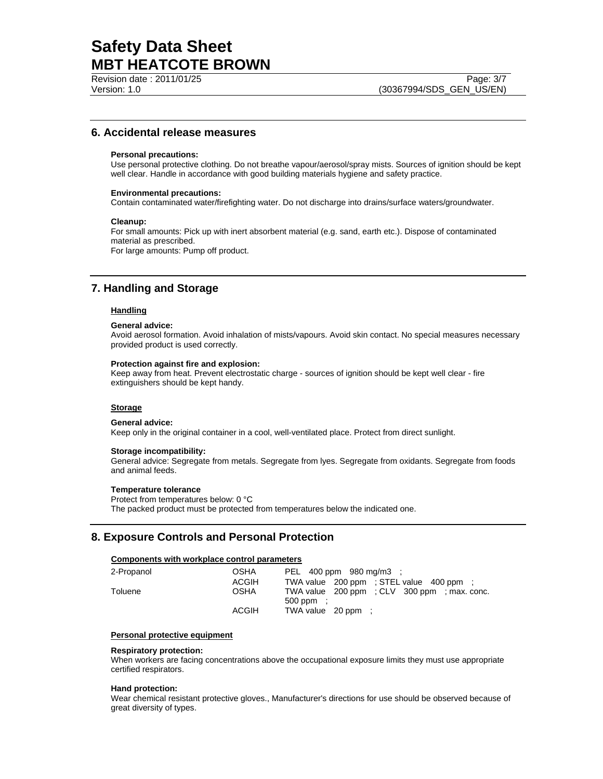Revision date : 2011/01/25 Page: 3/7

### **6. Accidental release measures**

### **Personal precautions:**

Use personal protective clothing. Do not breathe vapour/aerosol/spray mists. Sources of ignition should be kept well clear. Handle in accordance with good building materials hygiene and safety practice.

### **Environmental precautions:**

Contain contaminated water/firefighting water. Do not discharge into drains/surface waters/groundwater.

### **Cleanup:**

For small amounts: Pick up with inert absorbent material (e.g. sand, earth etc.). Dispose of contaminated material as prescribed.

For large amounts: Pump off product.

## **7. Handling and Storage**

### **Handling**

### **General advice:**

Avoid aerosol formation. Avoid inhalation of mists/vapours. Avoid skin contact. No special measures necessary provided product is used correctly.

### **Protection against fire and explosion:**

Keep away from heat. Prevent electrostatic charge - sources of ignition should be kept well clear - fire extinguishers should be kept handy.

### **Storage**

### **General advice:**

Keep only in the original container in a cool, well-ventilated place. Protect from direct sunlight.

#### **Storage incompatibility:**

General advice: Segregate from metals. Segregate from lyes. Segregate from oxidants. Segregate from foods and animal feeds.

#### **Temperature tolerance**

Protect from temperatures below: 0 °C The packed product must be protected from temperatures below the indicated one.

### **8. Exposure Controls and Personal Protection**

### **Components with workplace control parameters**

| 2-Propanol | OSHA  | PEL 400 ppm 980 mg/m3 :                                 |  |  |  |
|------------|-------|---------------------------------------------------------|--|--|--|
|            | ACGIH | TWA value 200 ppm : STEL value 400 ppm :                |  |  |  |
| Toluene    | OSHA  | TWA value 200 ppm : CLV 300 ppm : max. conc.<br>500 ppm |  |  |  |
|            | ACGIH | TWA value 20 ppm :                                      |  |  |  |

### **Personal protective equipment**

#### **Respiratory protection:**

When workers are facing concentrations above the occupational exposure limits they must use appropriate certified respirators.

### **Hand protection:**

Wear chemical resistant protective gloves., Manufacturer's directions for use should be observed because of great diversity of types.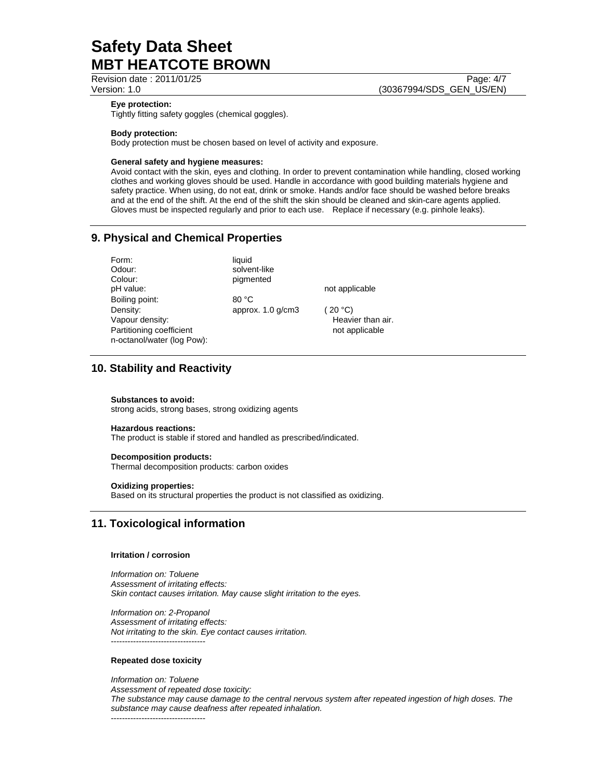Revision date : 2011/01/25 Page: 4/7

## Version: 1.0 (30367994/SDS\_GEN\_US/EN)

### **Eye protection:**

Tightly fitting safety goggles (chemical goggles).

### **Body protection:**

Body protection must be chosen based on level of activity and exposure.

### **General safety and hygiene measures:**

Avoid contact with the skin, eyes and clothing. In order to prevent contamination while handling, closed working clothes and working gloves should be used. Handle in accordance with good building materials hygiene and safety practice. When using, do not eat, drink or smoke. Hands and/or face should be washed before breaks and at the end of the shift. At the end of the shift the skin should be cleaned and skin-care agents applied. Gloves must be inspected regularly and prior to each use. Replace if necessary (e.g. pinhole leaks).

## **9. Physical and Chemical Properties**

| Form:                                                                                 | liquid                 |                                                |
|---------------------------------------------------------------------------------------|------------------------|------------------------------------------------|
| Odour:                                                                                | solvent-like           |                                                |
| Colour:                                                                               | pigmented              |                                                |
| pH value:                                                                             |                        | not applicable                                 |
| Boiling point:                                                                        | 80 °C                  |                                                |
| Density:<br>Vapour density:<br>Partitioning coefficient<br>n-octanol/water (log Pow): | approx. $1.0$ g/cm $3$ | (20 °C)<br>Heavier than air.<br>not applicable |

## **10. Stability and Reactivity**

### **Substances to avoid:**

strong acids, strong bases, strong oxidizing agents

### **Hazardous reactions:**

The product is stable if stored and handled as prescribed/indicated.

### **Decomposition products:**

Thermal decomposition products: carbon oxides

### **Oxidizing properties:**

Based on its structural properties the product is not classified as oxidizing.

## **11. Toxicological information**

### **Irritation / corrosion**

*Information on: Toluene Assessment of irritating effects: Skin contact causes irritation. May cause slight irritation to the eyes.* 

*Information on: 2-Propanol Assessment of irritating effects: Not irritating to the skin. Eye contact causes irritation.*  ----------------------------------

### **Repeated dose toxicity**

*Information on: Toluene Assessment of repeated dose toxicity: The substance may cause damage to the central nervous system after repeated ingestion of high doses. The substance may cause deafness after repeated inhalation.*  ----------------------------------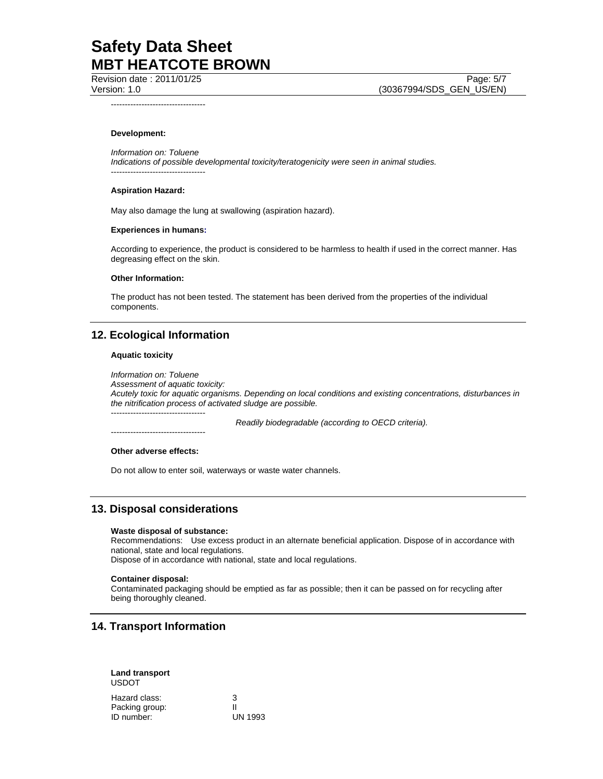Revision date : 2011/01/25 Page: 5/7 Version: 1.0 (30367994/SDS\_GEN\_US/EN)

----------------------------------

### **Development:**

*Information on: Toluene Indications of possible developmental toxicity/teratogenicity were seen in animal studies.*  ----------------------------------

#### **Aspiration Hazard:**

May also damage the lung at swallowing (aspiration hazard).

### **Experiences in humans:**

According to experience, the product is considered to be harmless to health if used in the correct manner. Has degreasing effect on the skin.

### **Other Information:**

The product has not been tested. The statement has been derived from the properties of the individual components.

### **12. Ecological Information**

### **Aquatic toxicity**

*Information on: Toluene Assessment of aquatic toxicity: Acutely toxic for aquatic organisms. Depending on local conditions and existing concentrations, disturbances in the nitrification process of activated sludge are possible.*  ----------------------------------

 *Readily biodegradable (according to OECD criteria).* 

### **Other adverse effects:**

----------------------------------

Do not allow to enter soil, waterways or waste water channels.

### **13. Disposal considerations**

#### **Waste disposal of substance:**

Recommendations: Use excess product in an alternate beneficial application. Dispose of in accordance with national, state and local regulations.

Dispose of in accordance with national, state and local regulations.

### **Container disposal:**

Contaminated packaging should be emptied as far as possible; then it can be passed on for recycling after being thoroughly cleaned.

### **14. Transport Information**

### **Land transport**  USDOT

| Hazard class:  | 3              |
|----------------|----------------|
| Packing group: | Ш              |
| ID number:     | <b>UN 1993</b> |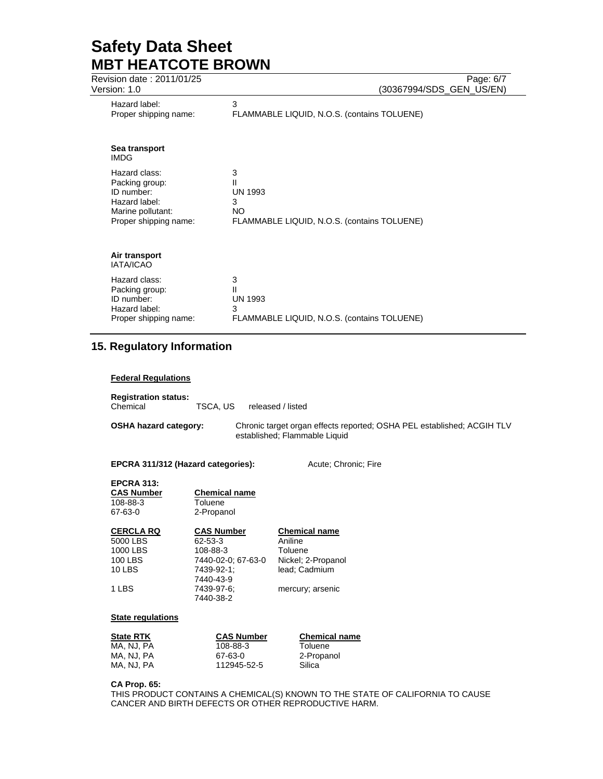| Revision date: 2011/01/25         | Page: 6/7                                   |
|-----------------------------------|---------------------------------------------|
| Version: 1.0                      | (30367994/SDS_GEN_US/EN)                    |
| Hazard label:                     | 3                                           |
| Proper shipping name:             | FLAMMABLE LIQUID, N.O.S. (contains TOLUENE) |
| Sea transport<br><b>IMDG</b>      |                                             |
| Hazard class:                     | 3                                           |
| Packing group:                    | Ш                                           |
| ID number:                        | <b>UN 1993</b>                              |
| Hazard label:                     | 3                                           |
| Marine pollutant:                 | NO.                                         |
| Proper shipping name:             | FLAMMABLE LIQUID, N.O.S. (contains TOLUENE) |
| Air transport<br><b>IATA/ICAO</b> |                                             |
| Hazard class:                     | 3                                           |
| Packing group:                    | Ш                                           |
| ID number:                        | <b>UN 1993</b>                              |
| Hazard label:                     | 3                                           |
| Proper shipping name:             | FLAMMABLE LIQUID, N.O.S. (contains TOLUENE) |

## **15. Regulatory Information**

### **Federal Regulations**

| <b>Registration status:</b><br>Chemical | TSCA. US | released / listed                                                                                       |
|-----------------------------------------|----------|---------------------------------------------------------------------------------------------------------|
| <b>OSHA hazard category:</b>            |          | Chronic target organ effects reported; OSHA PEL established; ACGIH TLV<br>established; Flammable Liquid |

**EPCRA 311/312 (Hazard categories):** Acute; Chronic; Fire

| <b>EPCRA 313:</b><br><b>CAS Number</b><br>108-88-3<br>67-63-0 | <b>Chemical name</b><br>Toluene<br>2-Propanol |                      |
|---------------------------------------------------------------|-----------------------------------------------|----------------------|
| <b>CERCLA RQ</b>                                              | <b>CAS Number</b>                             | <b>Chemical name</b> |
| 5000 LBS                                                      | 62-53-3                                       | Aniline              |
| 1000 LBS                                                      | 108-88-3                                      | Toluene              |
| <b>100 LBS</b>                                                | 7440-02-0: 67-63-0                            | Nickel; 2-Propanol   |
| <b>10 LBS</b>                                                 | 7439-92-1:                                    | lead: Cadmium        |
|                                                               | 7440-43-9                                     |                      |
| 1 LBS                                                         | 7439-97-6;                                    | mercury; arsenic     |
|                                                               | 7440-38-2                                     |                      |

### **State regulations**

| <b>State RTK</b> | <b>CAS Number</b> | <b>Chemical name</b> |
|------------------|-------------------|----------------------|
| MA. NJ. PA       | 108-88-3          | Toluene              |
| MA, NJ, PA       | 67-63-0           | 2-Propanol           |
| MA, NJ, PA       | 112945-52-5       | Silica               |

### **CA Prop. 65:**

THIS PRODUCT CONTAINS A CHEMICAL(S) KNOWN TO THE STATE OF CALIFORNIA TO CAUSE CANCER AND BIRTH DEFECTS OR OTHER REPRODUCTIVE HARM.